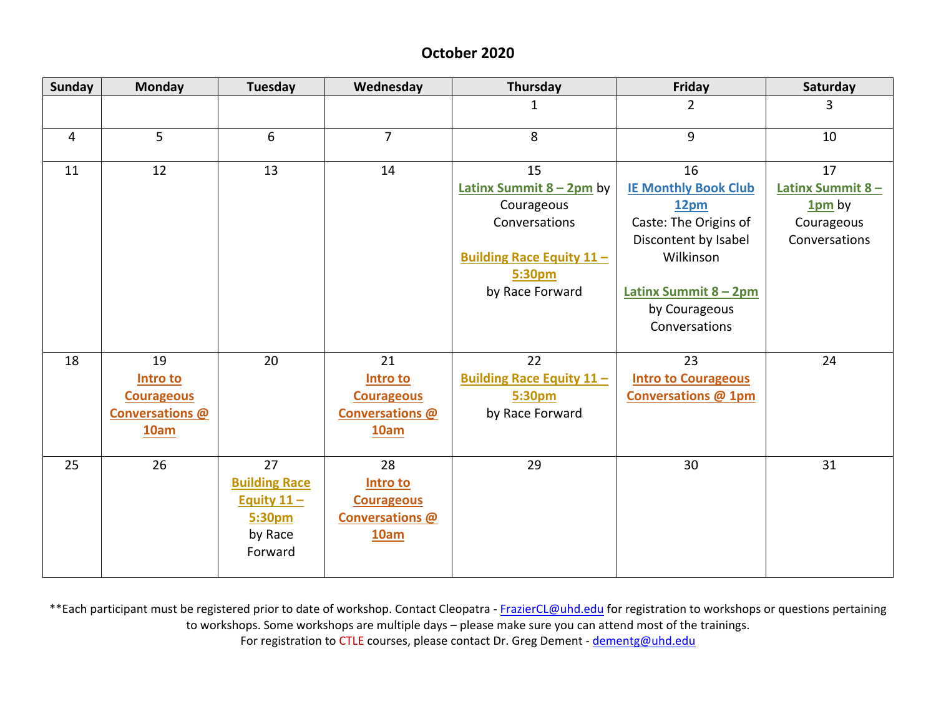## **October 2020**

| <b>Sunday</b>  | <b>Monday</b>                                                  | <b>Tuesday</b>                                                              | Wednesday                                                             | Thursday                                                                                                                         | Friday                                                                                                                                                             | Saturday                                                          |
|----------------|----------------------------------------------------------------|-----------------------------------------------------------------------------|-----------------------------------------------------------------------|----------------------------------------------------------------------------------------------------------------------------------|--------------------------------------------------------------------------------------------------------------------------------------------------------------------|-------------------------------------------------------------------|
|                |                                                                |                                                                             |                                                                       | 1                                                                                                                                | $\overline{2}$                                                                                                                                                     | 3                                                                 |
| $\overline{4}$ | 5                                                              | 6                                                                           | $\overline{7}$                                                        | 8                                                                                                                                | 9                                                                                                                                                                  | 10                                                                |
| 11             | 12                                                             | 13                                                                          | 14                                                                    | 15<br>Latinx Summit $8 - 2$ pm by<br>Courageous<br>Conversations<br><b>Building Race Equity 11-</b><br>5:30pm<br>by Race Forward | 16<br><b>IE Monthly Book Club</b><br>12pm<br>Caste: The Origins of<br>Discontent by Isabel<br>Wilkinson<br>Latinx Summit 8 - 2pm<br>by Courageous<br>Conversations | 17<br>Latinx Summit 8-<br>$1pm$ by<br>Courageous<br>Conversations |
| 18             | 19<br>Intro to<br><b>Courageous</b><br>Conversations @<br>10am | 20                                                                          | 21<br>Intro to<br><b>Courageous</b><br><b>Conversations @</b><br>10am | 22<br><b>Building Race Equity 11-</b><br>5:30pm<br>by Race Forward                                                               | 23<br><b>Intro to Courageous</b><br><b>Conversations @ 1pm</b>                                                                                                     | 24                                                                |
| 25             | 26                                                             | 27<br><b>Building Race</b><br>Equity $11 -$<br>5:30pm<br>by Race<br>Forward | 28<br>Intro to<br><b>Courageous</b><br><b>Conversations @</b><br>10am | 29                                                                                                                               | 30                                                                                                                                                                 | 31                                                                |

\*\*Each participant must be registered prior to date of workshop. Contact Cleopatra - [FrazierCL@uhd.edu](mailto:FrazierCL@uhd.edu) for registration to workshops or questions pertaining to workshops. Some workshops are multiple days – please make sure you can attend most of the trainings. For registration to CTLE courses, please contact Dr. Greg Dement - [dementg@uhd.edu](mailto:dementg@uhd.edu)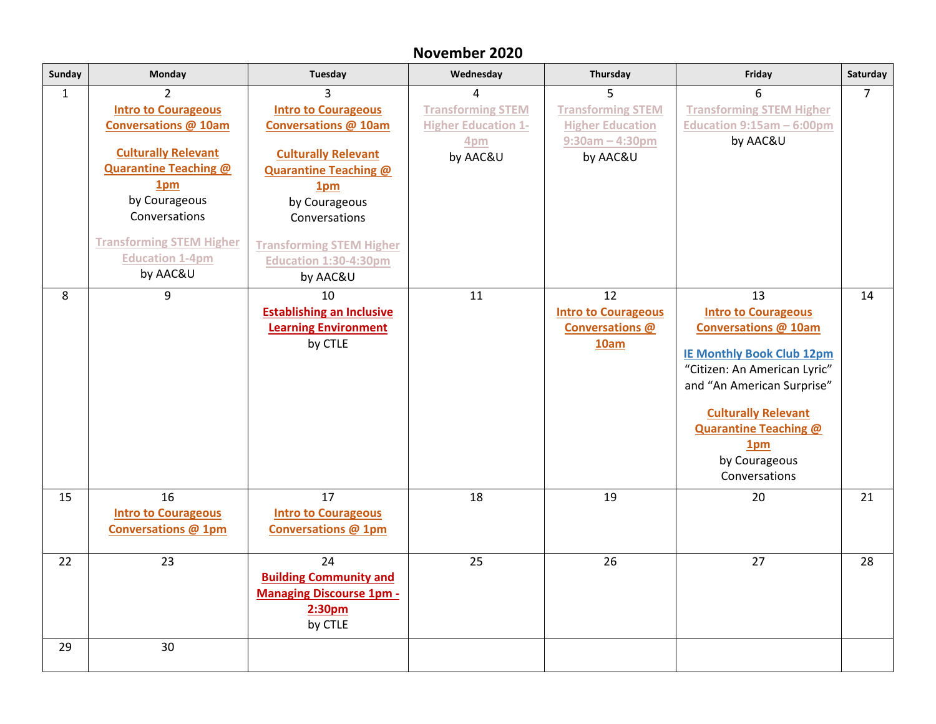## **November 2020**

| Sunday       | <b>Monday</b>                                                                                                                                                                                                                                                          | <b>Tuesday</b>                                                                                                                                                                                                                                                   | Wednesday                                                                      | Thursday                                                                              | Friday                                                                                                                                                                                                                                                                               | Saturday       |
|--------------|------------------------------------------------------------------------------------------------------------------------------------------------------------------------------------------------------------------------------------------------------------------------|------------------------------------------------------------------------------------------------------------------------------------------------------------------------------------------------------------------------------------------------------------------|--------------------------------------------------------------------------------|---------------------------------------------------------------------------------------|--------------------------------------------------------------------------------------------------------------------------------------------------------------------------------------------------------------------------------------------------------------------------------------|----------------|
| $\mathbf{1}$ | $\mathcal{P}$<br><b>Intro to Courageous</b><br><b>Conversations @ 10am</b><br><b>Culturally Relevant</b><br><b>Quarantine Teaching @</b><br>1 <sub>pm</sub><br>by Courageous<br>Conversations<br><b>Transforming STEM Higher</b><br><b>Education 1-4pm</b><br>by AAC&U | 3<br><b>Intro to Courageous</b><br><b>Conversations @ 10am</b><br><b>Culturally Relevant</b><br><b>Quarantine Teaching @</b><br>1 <sub>pm</sub><br>by Courageous<br>Conversations<br><b>Transforming STEM Higher</b><br><b>Education 1:30-4:30pm</b><br>by AAC&U | 4<br><b>Transforming STEM</b><br><b>Higher Education 1-</b><br>4pm<br>by AAC&U | <b>Transforming STEM</b><br><b>Higher Education</b><br>$9:30$ am - 4:30pm<br>by AAC&U | 6<br><b>Transforming STEM Higher</b><br>Education $9:15am - 6:00pm$<br>by AAC&U                                                                                                                                                                                                      | $\overline{7}$ |
| 8            | 9                                                                                                                                                                                                                                                                      | 10<br><b>Establishing an Inclusive</b><br><b>Learning Environment</b><br>by CTLE                                                                                                                                                                                 | 11                                                                             | 12<br><b>Intro to Courageous</b><br><b>Conversations @</b><br><b>10am</b>             | 13<br><b>Intro to Courageous</b><br><b>Conversations @ 10am</b><br><b>IE Monthly Book Club 12pm</b><br>"Citizen: An American Lyric"<br>and "An American Surprise"<br><b>Culturally Relevant</b><br><b>Quarantine Teaching @</b><br>1 <sub>pm</sub><br>by Courageous<br>Conversations | 14             |
| 15           | 16<br><b>Intro to Courageous</b><br><b>Conversations @ 1pm</b>                                                                                                                                                                                                         | 17<br><b>Intro to Courageous</b><br><b>Conversations @ 1pm</b>                                                                                                                                                                                                   | 18                                                                             | 19                                                                                    | 20                                                                                                                                                                                                                                                                                   | 21             |
| 22           | 23                                                                                                                                                                                                                                                                     | 24<br><b>Building Community and</b><br><b>Managing Discourse 1pm -</b><br>2:30 <sub>pm</sub><br>by CTLE                                                                                                                                                          | 25                                                                             | 26                                                                                    | 27                                                                                                                                                                                                                                                                                   | 28             |
| 29           | 30                                                                                                                                                                                                                                                                     |                                                                                                                                                                                                                                                                  |                                                                                |                                                                                       |                                                                                                                                                                                                                                                                                      |                |